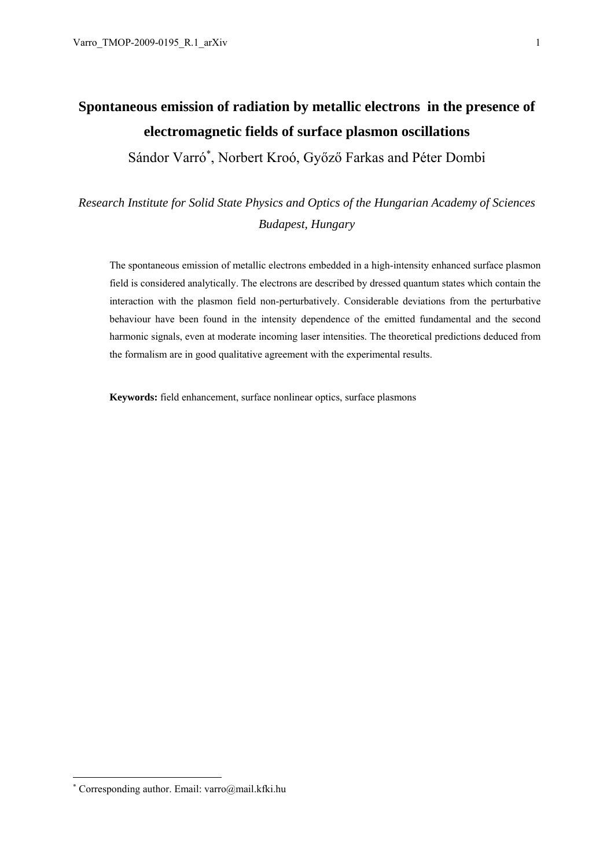**electromagnetic fields of surface plasmon oscillations** 

Sándor Varró<sup>∗</sup> , Norbert Kroó, Győző Farkas and Péter Dombi

# *Research Institute for Solid State Physics and Optics of the Hungarian Academy of Sciences Budapest, Hungary*

The spontaneous emission of metallic electrons embedded in a high-intensity enhanced surface plasmon field is considered analytically. The electrons are described by dressed quantum states which contain the interaction with the plasmon field non-perturbatively. Considerable deviations from the perturbative behaviour have been found in the intensity dependence of the emitted fundamental and the second harmonic signals, even at moderate incoming laser intensities. The theoretical predictions deduced from the formalism are in good qualitative agreement with the experimental results.

**Keywords:** field enhancement, surface nonlinear optics, surface plasmons

-

<sup>∗</sup> Corresponding author. Email: varro@mail.kfki.hu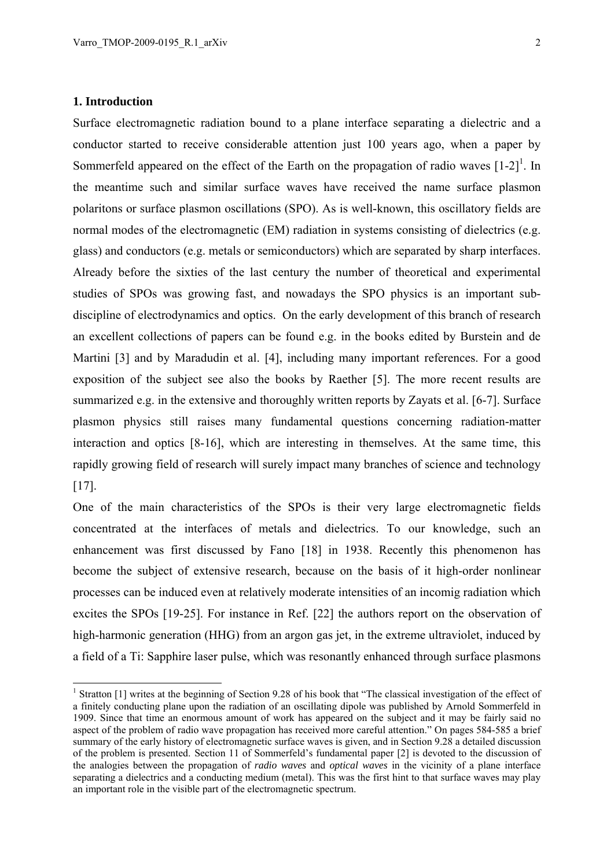#### **1. Introduction**

-

Surface electromagnetic radiation bound to a plane interface separating a dielectric and a conductor started to receive considerable attention just 100 years ago, when a paper by Sommerfeld appeared on the effect of the Earth on the propagation of radio waves  $[1-2]$ <sup>1</sup>. In the meantime such and similar surface waves have received the name surface plasmon polaritons or surface plasmon oscillations (SPO). As is well-known, this oscillatory fields are normal modes of the electromagnetic (EM) radiation in systems consisting of dielectrics (e.g. glass) and conductors (e.g. metals or semiconductors) which are separated by sharp interfaces. Already before the sixties of the last century the number of theoretical and experimental studies of SPOs was growing fast, and nowadays the SPO physics is an important subdiscipline of electrodynamics and optics. On the early development of this branch of research an excellent collections of papers can be found e.g. in the books edited by Burstein and de Martini [3] and by Maradudin et al. [4], including many important references. For a good exposition of the subject see also the books by Raether [5]. The more recent results are summarized e.g. in the extensive and thoroughly written reports by Zayats et al. [6-7]. Surface plasmon physics still raises many fundamental questions concerning radiation-matter interaction and optics [8-16], which are interesting in themselves. At the same time, this rapidly growing field of research will surely impact many branches of science and technology [17].

One of the main characteristics of the SPOs is their very large electromagnetic fields concentrated at the interfaces of metals and dielectrics. To our knowledge, such an enhancement was first discussed by Fano [18] in 1938. Recently this phenomenon has become the subject of extensive research, because on the basis of it high-order nonlinear processes can be induced even at relatively moderate intensities of an incomig radiation which excites the SPOs [19-25]. For instance in Ref. [22] the authors report on the observation of high-harmonic generation (HHG) from an argon gas jet, in the extreme ultraviolet, induced by a field of a Ti: Sapphire laser pulse, which was resonantly enhanced through surface plasmons

<sup>&</sup>lt;sup>1</sup> Stratton [1] writes at the beginning of Section 9.28 of his book that "The classical investigation of the effect of a finitely conducting plane upon the radiation of an oscillating dipole was published by Arnold Sommerfeld in 1909. Since that time an enormous amount of work has appeared on the subject and it may be fairly said no aspect of the problem of radio wave propagation has received more careful attention." On pages 584-585 a brief summary of the early history of electromagnetic surface waves is given, and in Section 9.28 a detailed discussion of the problem is presented. Section 11 of Sommerfeld's fundamental paper [2] is devoted to the discussion of the analogies between the propagation of *radio waves* and *optical waves* in the vicinity of a plane interface separating a dielectrics and a conducting medium (metal). This was the first hint to that surface waves may play an important role in the visible part of the electromagnetic spectrum.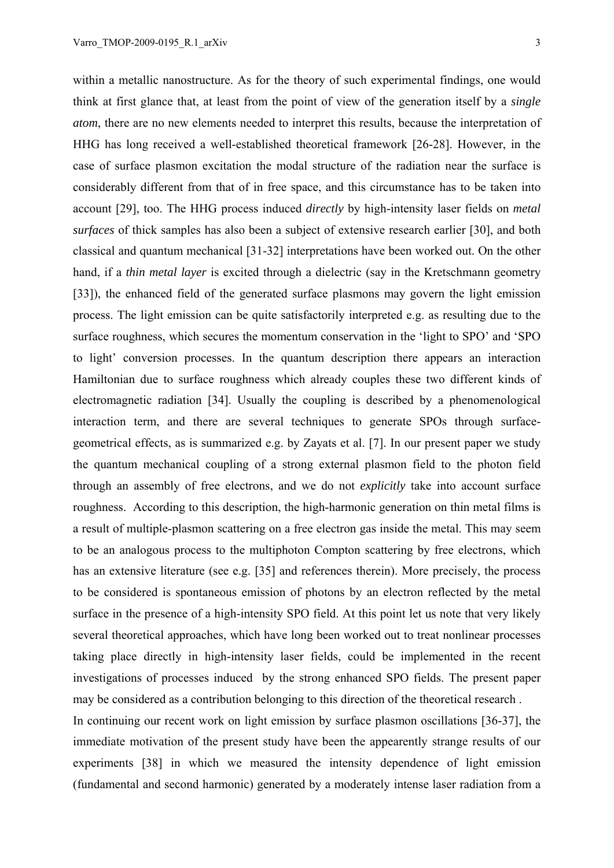within a metallic nanostructure. As for the theory of such experimental findings, one would think at first glance that, at least from the point of view of the generation itself by a *single atom*, there are no new elements needed to interpret this results, because the interpretation of HHG has long received a well-established theoretical framework [26-28]. However, in the case of surface plasmon excitation the modal structure of the radiation near the surface is considerably different from that of in free space, and this circumstance has to be taken into account [29], too. The HHG process induced *directly* by high-intensity laser fields on *metal surfaces* of thick samples has also been a subject of extensive research earlier [30], and both classical and quantum mechanical [31-32] interpretations have been worked out. On the other hand, if a *thin metal layer* is excited through a dielectric (say in the Kretschmann geometry [33]), the enhanced field of the generated surface plasmons may govern the light emission process. The light emission can be quite satisfactorily interpreted e.g. as resulting due to the surface roughness, which secures the momentum conservation in the 'light to SPO' and 'SPO to light' conversion processes. In the quantum description there appears an interaction Hamiltonian due to surface roughness which already couples these two different kinds of electromagnetic radiation [34]. Usually the coupling is described by a phenomenological interaction term, and there are several techniques to generate SPOs through surfacegeometrical effects, as is summarized e.g. by Zayats et al. [7]. In our present paper we study the quantum mechanical coupling of a strong external plasmon field to the photon field through an assembly of free electrons, and we do not *explicitly* take into account surface roughness. According to this description, the high-harmonic generation on thin metal films is a result of multiple-plasmon scattering on a free electron gas inside the metal. This may seem to be an analogous process to the multiphoton Compton scattering by free electrons, which has an extensive literature (see e.g. [35] and references therein). More precisely, the process to be considered is spontaneous emission of photons by an electron reflected by the metal surface in the presence of a high-intensity SPO field. At this point let us note that very likely several theoretical approaches, which have long been worked out to treat nonlinear processes taking place directly in high-intensity laser fields, could be implemented in the recent investigations of processes induced by the strong enhanced SPO fields. The present paper may be considered as a contribution belonging to this direction of the theoretical research .

In continuing our recent work on light emission by surface plasmon oscillations [36-37], the immediate motivation of the present study have been the appearently strange results of our experiments [38] in which we measured the intensity dependence of light emission (fundamental and second harmonic) generated by a moderately intense laser radiation from a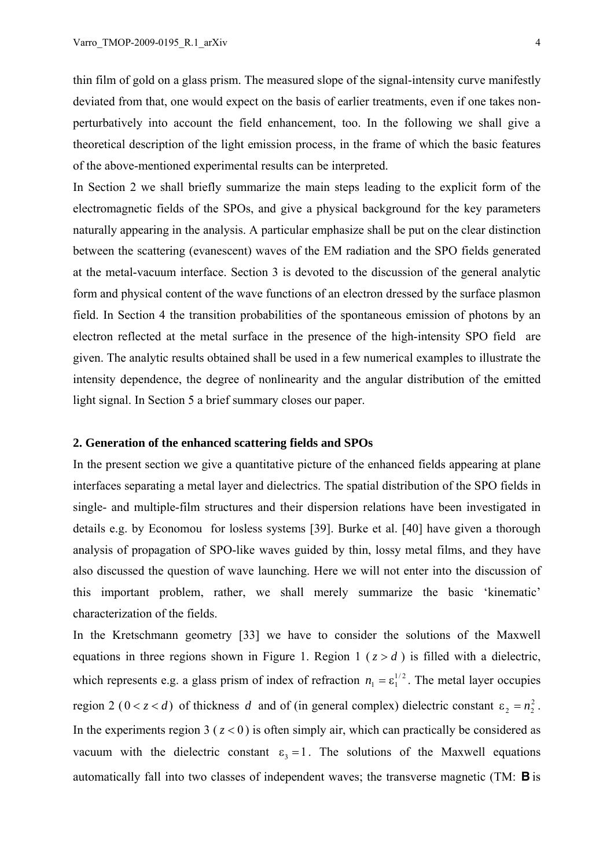thin film of gold on a glass prism. The measured slope of the signal-intensity curve manifestly deviated from that, one would expect on the basis of earlier treatments, even if one takes nonperturbatively into account the field enhancement, too. In the following we shall give a theoretical description of the light emission process, in the frame of which the basic features of the above-mentioned experimental results can be interpreted.

In Section 2 we shall briefly summarize the main steps leading to the explicit form of the electromagnetic fields of the SPOs, and give a physical background for the key parameters naturally appearing in the analysis. A particular emphasize shall be put on the clear distinction between the scattering (evanescent) waves of the EM radiation and the SPO fields generated at the metal-vacuum interface. Section 3 is devoted to the discussion of the general analytic form and physical content of the wave functions of an electron dressed by the surface plasmon field. In Section 4 the transition probabilities of the spontaneous emission of photons by an electron reflected at the metal surface in the presence of the high-intensity SPO field are given. The analytic results obtained shall be used in a few numerical examples to illustrate the intensity dependence, the degree of nonlinearity and the angular distribution of the emitted light signal. In Section 5 a brief summary closes our paper.

#### **2. Generation of the enhanced scattering fields and SPOs**

In the present section we give a quantitative picture of the enhanced fields appearing at plane interfaces separating a metal layer and dielectrics. The spatial distribution of the SPO fields in single- and multiple-film structures and their dispersion relations have been investigated in details e.g. by Economou for losless systems [39]. Burke et al. [40] have given a thorough analysis of propagation of SPO-like waves guided by thin, lossy metal films, and they have also discussed the question of wave launching. Here we will not enter into the discussion of this important problem, rather, we shall merely summarize the basic 'kinematic' characterization of the fields.

In the Kretschmann geometry [33] we have to consider the solutions of the Maxwell equations in three regions shown in Figure 1. Region  $1$  ( $z > d$ ) is filled with a dielectric, which represents e.g. a glass prism of index of refraction  $n_1 = \varepsilon_1^{1/2}$ . The metal layer occupies region 2 ( $0 < z < d$ ) of thickness *d* and of (in general complex) dielectric constant  $\varepsilon_2 = n_2^2$ . In the experiments region 3 ( $z < 0$ ) is often simply air, which can practically be considered as vacuum with the dielectric constant  $\epsilon_3 = 1$ . The solutions of the Maxwell equations automatically fall into two classes of independent waves; the transverse magnetic (TM: **B** is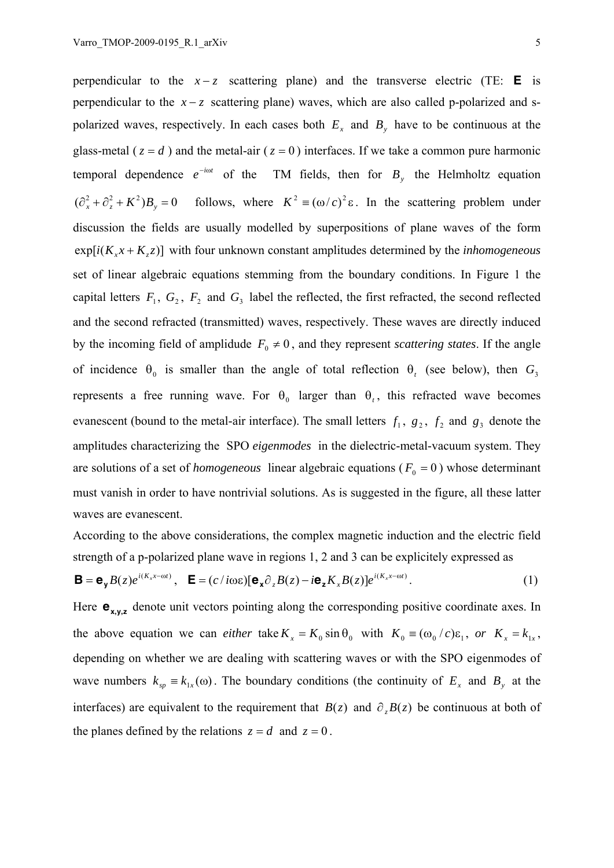perpendicular to the  $x - z$  scattering plane) and the transverse electric (TE: **E** is perpendicular to the  $x - z$  scattering plane) waves, which are also called p-polarized and spolarized waves, respectively. In each cases both  $E<sub>x</sub>$  and  $B<sub>y</sub>$  have to be continuous at the glass-metal ( $z = d$ ) and the metal-air ( $z = 0$ ) interfaces. If we take a common pure harmonic temporal dependence  $e^{-i\omega t}$  of the TM fields, then for  $B_{y}$  the Helmholtz equation  $(\partial_x^2 + \partial_z^2 + K^2)B_y = 0$  follows, where  $K^2 = (\omega/c)^2 \varepsilon$ . In the scattering problem under discussion the fields are usually modelled by superpositions of plane waves of the form  $exp[i(K_x x + K_z z)]$  with four unknown constant amplitudes determined by the *inhomogeneous* set of linear algebraic equations stemming from the boundary conditions. In Figure 1 the capital letters  $F_1$ ,  $G_2$ ,  $F_2$  and  $G_3$  label the reflected, the first refracted, the second reflected and the second refracted (transmitted) waves, respectively. These waves are directly induced by the incoming field of amplidude  $F_0 \neq 0$ , and they represent *scattering states*. If the angle of incidence  $\theta_0$  is smaller than the angle of total reflection  $\theta_t$  (see below), then  $G_3$ represents a free running wave. For  $\theta_0$  larger than  $\theta_t$ , this refracted wave becomes evanescent (bound to the metal-air interface). The small letters  $f_1$ ,  $g_2$ ,  $f_2$  and  $g_3$  denote the amplitudes characterizing the SPO *eigenmodes* in the dielectric-metal-vacuum system. They are solutions of a set of *homogeneous* linear algebraic equations ( $F_0 = 0$ ) whose determinant must vanish in order to have nontrivial solutions. As is suggested in the figure, all these latter waves are evanescent.

According to the above considerations, the complex magnetic induction and the electric field strength of a p-polarized plane wave in regions 1, 2 and 3 can be explicitely expressed as

$$
\mathbf{B} = \mathbf{e}_{\mathbf{y}} B(z) e^{i(K_x x - \omega t)}, \quad \mathbf{E} = (c / i\omega \varepsilon) [\mathbf{e}_{\mathbf{x}} \partial_z B(z) - i\mathbf{e}_{\mathbf{z}} K_x B(z)] e^{i(K_x x - \omega t)}.
$$
 (1)

Here  $\mathbf{e}_{x,y,z}$  denote unit vectors pointing along the corresponding positive coordinate axes. In the above equation we can *either* take  $K_x = K_0 \sin \theta_0$  with  $K_0 = (\omega_0 / c) \varepsilon_1$ , or  $K_x = k_{1x}$ , depending on whether we are dealing with scattering waves or with the SPO eigenmodes of wave numbers  $k_{sp} \equiv k_{1x}(\omega)$ . The boundary conditions (the continuity of  $E_x$  and  $B_y$  at the interfaces) are equivalent to the requirement that  $B(z)$  and  $\partial_z B(z)$  be continuous at both of the planes defined by the relations  $z = d$  and  $z = 0$ .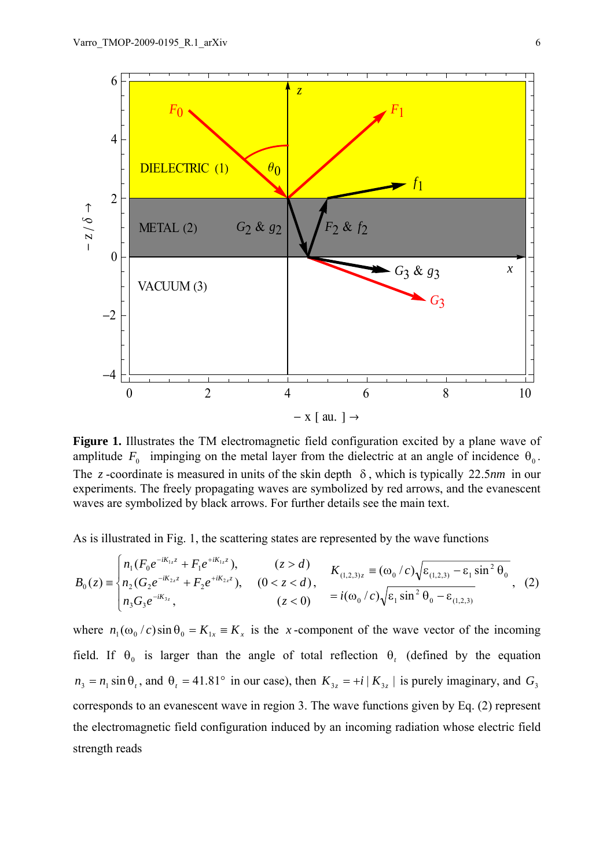

Figure 1. Illustrates the TM electromagnetic field configuration excited by a plane wave of amplitude  $F_0$  impinging on the metal layer from the dielectric at an angle of incidence  $\theta_0$ . The *z* -coordinate is measured in units of the skin depth δ , which is typically 22.5*nm* in our experiments. The freely propagating waves are symbolized by red arrows, and the evanescent waves are symbolized by black arrows. For further details see the main text.

As is illustrated in Fig. 1, the scattering states are represented by the wave functions

$$
B_0(z) = \begin{cases} n_1(F_0 e^{-iK_{1z}z} + F_1 e^{+iK_{1z}z}), & (z > d) \\ n_2(G_2 e^{-iK_{2z}z} + F_2 e^{+iK_{2z}z}), & (0 < z < d) \\ n_3G_3 e^{-iK_{3z}}, & (z < 0) \end{cases}, \quad K_{(1,2,3)z} = (\omega_0/c)\sqrt{\varepsilon_{(1,2,3)}} - \varepsilon_1 \sin^2 \theta_0
$$
\n(z < 0) =  $i(\omega_0/c)\sqrt{\varepsilon_1 \sin^2 \theta_0 - \varepsilon_{(1,2,3)}}$ 

where  $n_1(\omega_0/c)\sin\theta_0 = K_{1x} = K_x$  is the x-component of the wave vector of the incoming field. If  $\theta_0$  is larger than the angle of total reflection  $\theta_t$  (defined by the equation  $n_3 = n_1 \sin \theta$ , and  $\theta_1 = 41.81^\circ$  in our case), then  $K_{3z} = +i | K_{3z} |$  is purely imaginary, and  $G_3$ corresponds to an evanescent wave in region 3. The wave functions given by Eq. (2) represent the electromagnetic field configuration induced by an incoming radiation whose electric field strength reads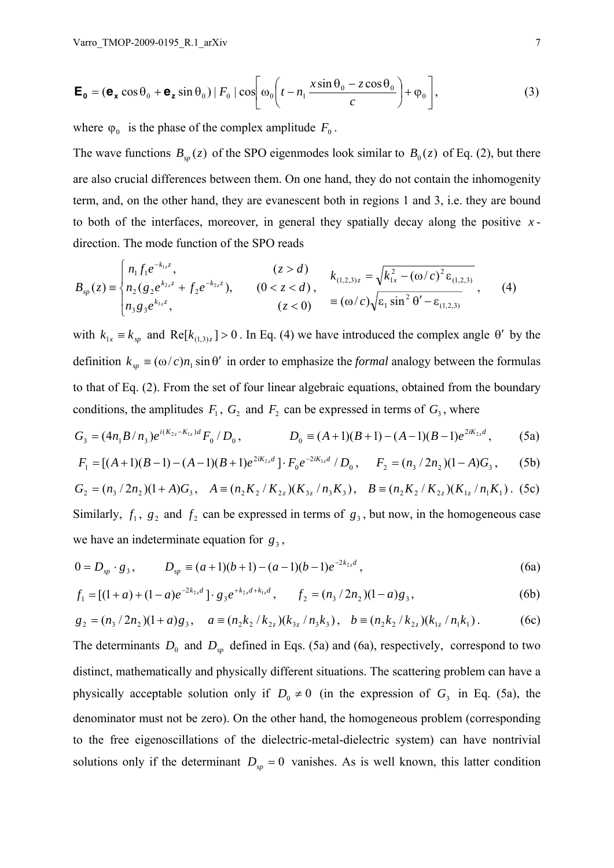$$
\mathbf{E}_0 = (\mathbf{e}_x \cos \theta_0 + \mathbf{e}_z \sin \theta_0) |F_0| \cos \left[ \omega_0 \left( t - n_1 \frac{x \sin \theta_0 - z \cos \theta_0}{c} \right) + \varphi_0 \right],
$$
 (3)

where  $\varphi_0$  is the phase of the complex amplitude  $F_0$ .

The wave functions  $B_{sp}(z)$  of the SPO eigenmodes look similar to  $B_0(z)$  of Eq. (2), but there are also crucial differences between them. On one hand, they do not contain the inhomogenity term, and, on the other hand, they are evanescent both in regions 1 and 3, i.e. they are bound to both of the interfaces, moreover, in general they spatially decay along the positive *x* direction. The mode function of the SPO reads

$$
B_{sp}(z) = \begin{cases} n_1 f_1 e^{-k_{1z} z}, & (z > d) \\ n_2 (g_2 e^{k_{2z} z} + f_2 e^{-k_{2z} z}), & (0 < z < d) \\ n_3 g_3 e^{k_{3z} z}, & (z < 0) \end{cases}, \quad k_{(1,2,3)z} = \sqrt{k_{1x}^2 - (\omega/c)^2 \varepsilon_{(1,2,3)}} \tag{4}
$$

with  $k_{1x} = k_{sp}$  and Re[ $k_{(1,3)z}$ ] > 0. In Eq. (4) we have introduced the complex angle  $\theta'$  by the definition  $k_{sp} \equiv (\omega/c)n_1 \sin \theta'$  in order to emphasize the *formal* analogy between the formulas to that of Eq. (2). From the set of four linear algebraic equations, obtained from the boundary conditions, the amplitudes  $F_1$ ,  $G_2$  and  $F_2$  can be expressed in terms of  $G_3$ , where

$$
G_3 = (4n_1B/n_3)e^{i(K_{2z}-K_{1z})d}F_0/D_0, \qquad D_0 = (A+1)(B+1) - (A-1)(B-1)e^{2iK_{2z}d}, \qquad (5a)
$$

$$
F_1 = [(A+1)(B-1) - (A-1)(B+1)e^{2iK_{2z}d}] \cdot F_0 e^{-2iK_{1z}d}/D_0, \quad F_2 = (n_3/2n_2)(1-A)G_3,
$$
 (5b)

$$
G_2 = (n_3 / 2n_2)(1 + A)G_3, \quad A \equiv (n_2 K_2 / K_{2z})(K_{3z} / n_3 K_3), \quad B \equiv (n_2 K_2 / K_{2z})(K_{1z} / n_1 K_1).
$$
 (5c)

Similarly,  $f_1$ ,  $g_2$  and  $f_2$  can be expressed in terms of  $g_3$ , but now, in the homogeneous case we have an indeterminate equation for  $g_3$ ,

$$
0 = D_{sp} \cdot g_3, \qquad D_{sp} \equiv (a+1)(b+1) - (a-1)(b-1)e^{-2k_{2}d}, \qquad (6a)
$$

$$
f_1 = [(1+a) + (1-a)e^{-2k_{2z}d}] \cdot g_3 e^{+k_{2z}d + k_{1z}d}, \qquad f_2 = (n_3/2n_2)(1-a)g_3,
$$
 (6b)

$$
g_2 = (n_3/2n_2)(1+a)g_3, \quad a = (n_2k_2/k_{2z})(k_{3z}/n_3k_3), \quad b = (n_2k_2/k_{2z})(k_{1z}/n_1k_1).
$$
 (6c)

The determinants  $D_0$  and  $D_{sp}$  defined in Eqs. (5a) and (6a), respectively, correspond to two distinct, mathematically and physically different situations. The scattering problem can have a physically acceptable solution only if  $D_0 \neq 0$  (in the expression of  $G_3$  in Eq. (5a), the denominator must not be zero). On the other hand, the homogeneous problem (corresponding to the free eigenoscillations of the dielectric-metal-dielectric system) can have nontrivial solutions only if the determinant  $D_{sp} = 0$  vanishes. As is well known, this latter condition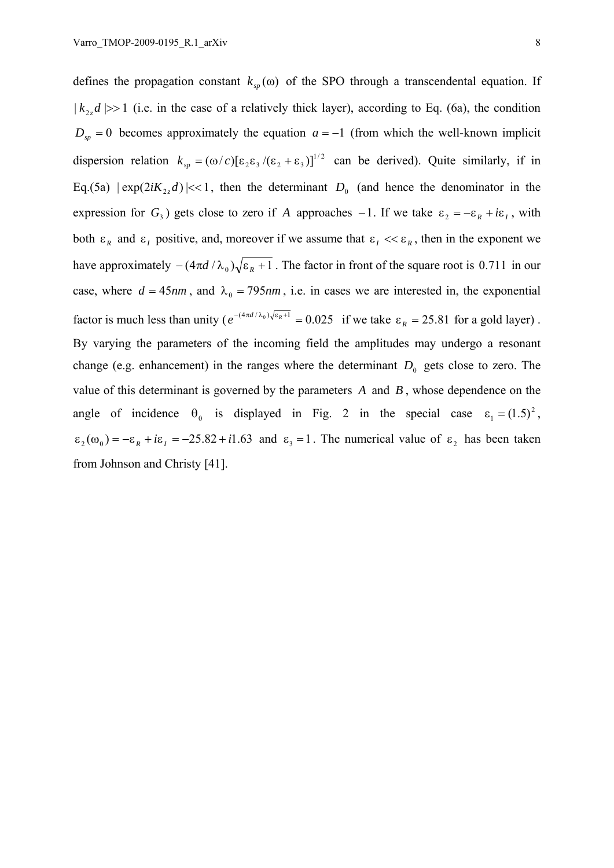defines the propagation constant  $k_{\infty}(\omega)$  of the SPO through a transcendental equation. If  $| k_2, d | >> 1$  (i.e. in the case of a relatively thick layer), according to Eq. (6a), the condition  $D_{sp} = 0$  becomes approximately the equation  $a = -1$  (from which the well-known implicit dispersion relation  $k_{sp} = (\omega/c)[\epsilon_2 \epsilon_3/(\epsilon_2 + \epsilon_3)]^{1/2}$  can be derived). Quite similarly, if in Eq.(5a)  $|\exp(2iK_2, d)| \ll 1$ , then the determinant  $D_0$  (and hence the denominator in the expression for  $G_3$ ) gets close to zero if *A* approaches −1. If we take  $\varepsilon_2 = -\varepsilon_R + i\varepsilon_I$ , with both  $\epsilon_R$  and  $\epsilon_I$  positive, and, moreover if we assume that  $\epsilon_I \ll \epsilon_R$ , then in the exponent we have approximately  $-(4\pi d / \lambda_0) \sqrt{\varepsilon_R + 1}$ . The factor in front of the square root is 0.711 in our case, where  $d = 45nm$ , and  $\lambda_0 = 795nm$ , i.e. in cases we are interested in, the exponential factor is much less than unity ( $e^{-(4\pi d/\lambda_0)\sqrt{\epsilon_R+1}} = 0.025$  if we take  $\epsilon_R = 25.81$  for a gold layer). By varying the parameters of the incoming field the amplitudes may undergo a resonant change (e.g. enhancement) in the ranges where the determinant  $D_0$  gets close to zero. The value of this determinant is governed by the parameters *A* and *B* , whose dependence on the angle of incidence  $\theta_0$  is displayed in Fig. 2 in the special case  $\varepsilon_1 = (1.5)^2$ ,  $\varepsilon_2(\omega_0) = -\varepsilon_R + i\varepsilon_I = -25.82 + i1.63$  and  $\varepsilon_3 = 1$ . The numerical value of  $\varepsilon_2$  has been taken from Johnson and Christy [41].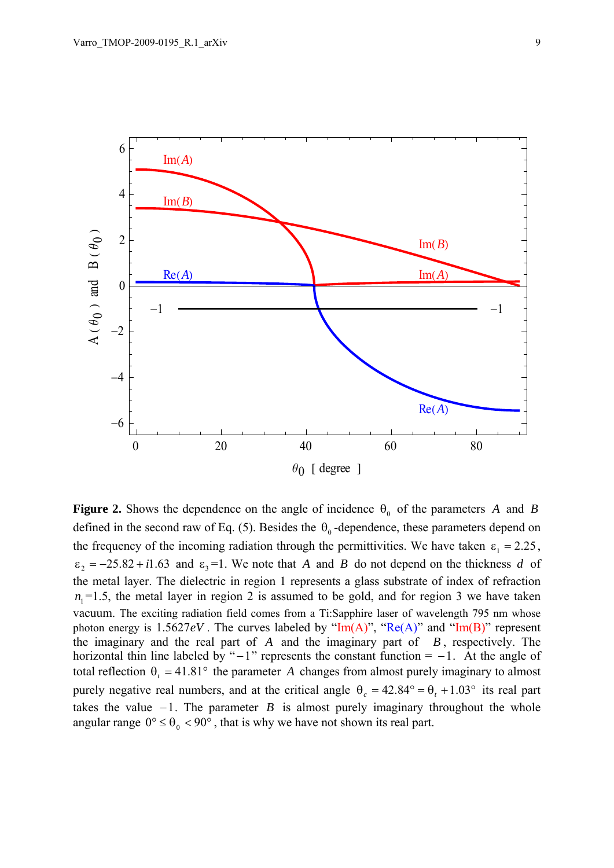

**Figure 2.** Shows the dependence on the angle of incidence  $\theta_0$  of the parameters *A* and *B* defined in the second raw of Eq. (5). Besides the  $\theta_0$ -dependence, these parameters depend on the frequency of the incoming radiation through the permittivities. We have taken  $\varepsilon_1 = 2.25$ ,  $\epsilon_2 = -25.82 + i1.63$  and  $\epsilon_3 = 1$ . We note that *A* and *B* do not depend on the thickness *d* of the metal layer. The dielectric in region 1 represents a glass substrate of index of refraction  $n_1 = 1.5$ , the metal layer in region 2 is assumed to be gold, and for region 3 we have taken vacuum. The exciting radiation field comes from a Ti:Sapphire laser of wavelength 795 nm whose photon energy is  $1.5627eV$ . The curves labeled by "Im(A)", "Re(A)" and "Im(B)" represent the imaginary and the real part of *A* and the imaginary part of *B* , respectively. The horizontal thin line labeled by " $-1$ " represents the constant function =  $-1$ . At the angle of total reflection  $\theta_t = 41.81^\circ$  the parameter *A* changes from almost purely imaginary to almost purely negative real numbers, and at the critical angle  $\theta_c = 42.84^\circ = \theta_t + 1.03^\circ$  its real part takes the value  $-1$ . The parameter *B* is almost purely imaginary throughout the whole angular range  $0^{\circ} \le \theta_0 < 90^{\circ}$ , that is why we have not shown its real part.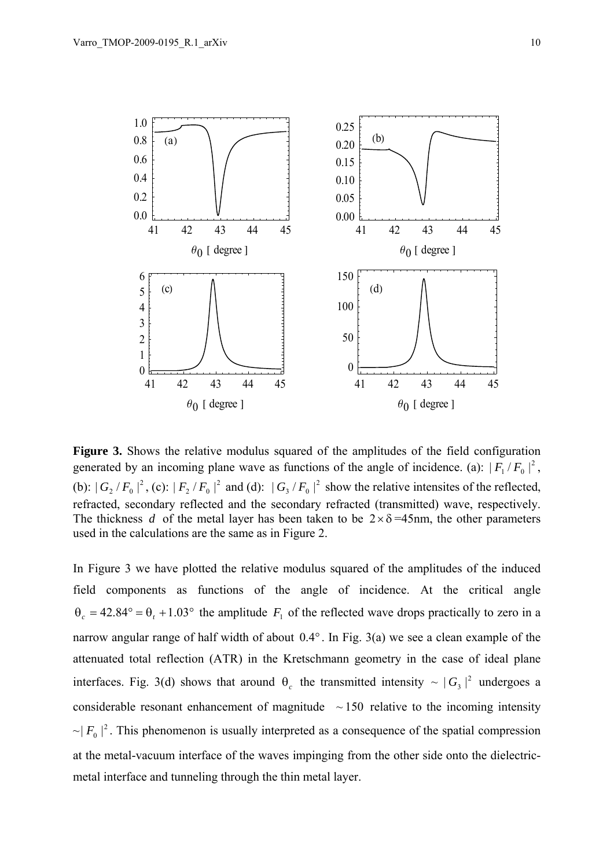

**Figure 3.** Shows the relative modulus squared of the amplitudes of the field configuration generated by an incoming plane wave as functions of the angle of incidence. (a):  $|F_1/F_0|^2$ , (b):  $|G_2/F_0|^2$ , (c):  $|F_2/F_0|^2$  and (d):  $|G_3/F_0|^2$  show the relative intensites of the reflected, refracted, secondary reflected and the secondary refracted (transmitted) wave, respectively. The thickness *d* of the metal layer has been taken to be  $2 \times \delta = 45$ nm, the other parameters used in the calculations are the same as in Figure 2.

In Figure 3 we have plotted the relative modulus squared of the amplitudes of the induced field components as functions of the angle of incidence. At the critical angle  $\theta_c = 42.84^\circ = \theta_t + 1.03^\circ$  the amplitude  $F_1$  of the reflected wave drops practically to zero in a narrow angular range of half width of about 0.4° . In Fig. 3(a) we see a clean example of the attenuated total reflection (ATR) in the Kretschmann geometry in the case of ideal plane interfaces. Fig. 3(d) shows that around  $\theta_c$  the transmitted intensity  $\sim |G_3|^2$  undergoes a considerable resonant enhancement of magnitude  $\sim 150$  relative to the incoming intensity  $\sim |F_0|^2$ . This phenomenon is usually interpreted as a consequence of the spatial compression at the metal-vacuum interface of the waves impinging from the other side onto the dielectricmetal interface and tunneling through the thin metal layer.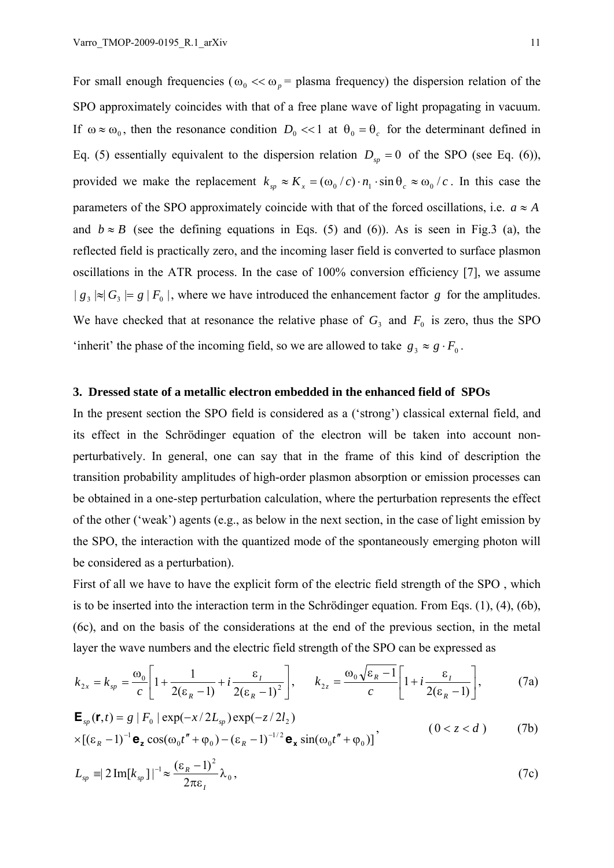For small enough frequencies ( $\omega_0 \ll \omega_p$  = plasma frequency) the dispersion relation of the SPO approximately coincides with that of a free plane wave of light propagating in vacuum. If  $\omega \approx \omega_0$ , then the resonance condition  $D_0 \ll 1$  at  $\theta_0 = \theta_c$  for the determinant defined in Eq. (5) essentially equivalent to the dispersion relation  $D_{sp} = 0$  of the SPO (see Eq. (6)), provided we make the replacement  $k_{sp} \approx K_x = (\omega_0/c) \cdot n_1 \cdot \sin \theta_c \approx \omega_0/c$ . In this case the parameters of the SPO approximately coincide with that of the forced oscillations, i.e.  $a \approx A$ and  $b \approx B$  (see the defining equations in Eqs. (5) and (6)). As is seen in Fig. 3 (a), the reflected field is practically zero, and the incoming laser field is converted to surface plasmon oscillations in the ATR process. In the case of 100% conversion efficiency [7], we assume  $| g_3 | \approx | G_3 | = g | F_0 |$ , where we have introduced the enhancement factor *g* for the amplitudes. We have checked that at resonance the relative phase of  $G_3$  and  $F_0$  is zero, thus the SPO 'inherit' the phase of the incoming field, so we are allowed to take  $g_3 \approx g \cdot F_0$ .

#### **3. Dressed state of a metallic electron embedded in the enhanced field of SPOs**

In the present section the SPO field is considered as a ('strong') classical external field, and its effect in the Schrödinger equation of the electron will be taken into account nonperturbatively. In general, one can say that in the frame of this kind of description the transition probability amplitudes of high-order plasmon absorption or emission processes can be obtained in a one-step perturbation calculation, where the perturbation represents the effect of the other ('weak') agents (e.g., as below in the next section, in the case of light emission by the SPO, the interaction with the quantized mode of the spontaneously emerging photon will be considered as a perturbation).

First of all we have to have the explicit form of the electric field strength of the SPO , which is to be inserted into the interaction term in the Schrödinger equation. From Eqs. (1), (4), (6b), (6c), and on the basis of the considerations at the end of the previous section, in the metal layer the wave numbers and the electric field strength of the SPO can be expressed as

$$
k_{2x} = k_{sp} = \frac{\omega_0}{c} \left[ 1 + \frac{1}{2(\epsilon_R - 1)} + i \frac{\epsilon_I}{2(\epsilon_R - 1)^2} \right], \qquad k_{2z} = \frac{\omega_0 \sqrt{\epsilon_R - 1}}{c} \left[ 1 + i \frac{\epsilon_I}{2(\epsilon_R - 1)} \right], \tag{7a}
$$

$$
\mathbf{E}_{sp}(\mathbf{r},t) = g \mid F_0 \mid \exp(-x/2L_{sp}) \exp(-z/2l_2)
$$
  
 
$$
\times [(\varepsilon_R - 1)^{-1} \mathbf{e}_z \cos(\omega_0 t'' + \varphi_0) - (\varepsilon_R - 1)^{-1/2} \mathbf{e}_x \sin(\omega_0 t'' + \varphi_0)]'
$$
 (0 < z < d) (7b)

$$
L_{sp} \equiv 2 \operatorname{Im}[k_{sp}]|^{-1} \approx \frac{(\varepsilon_R - 1)^2}{2\pi\varepsilon_I} \lambda_0,
$$
 (7c)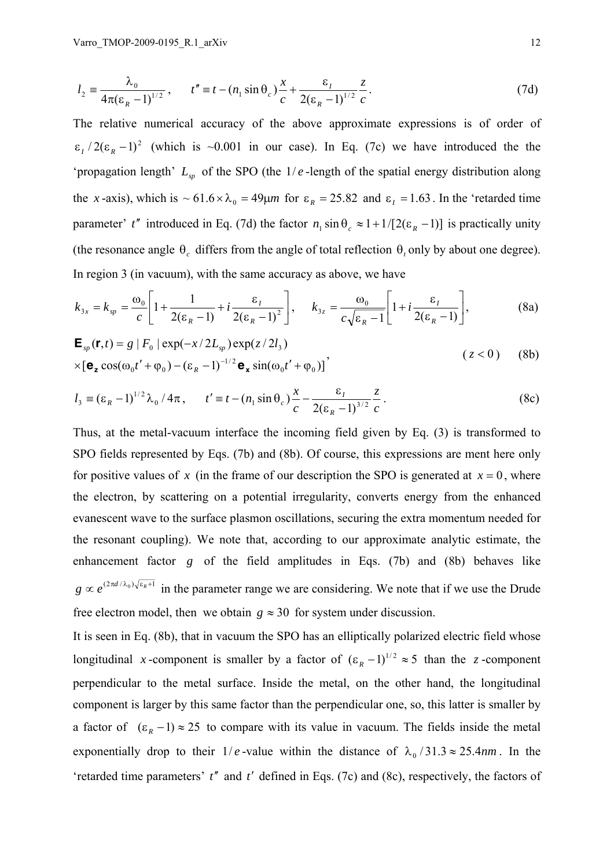$$
l_2 = \frac{\lambda_0}{4\pi(\epsilon_R - 1)^{1/2}}, \qquad t'' = t - (n_1 \sin \theta_c) \frac{x}{c} + \frac{\epsilon_I}{2(\epsilon_R - 1)^{1/2}} \frac{z}{c}.
$$
 (7d)

The relative numerical accuracy of the above approximate expressions is of order of  $\epsilon_1/2(\epsilon_R - 1)^2$  (which is ~0.001 in our case). In Eq. (7c) we have introduced the the 'propagation length'  $L_{sp}$  of the SPO (the  $1/e$ -length of the spatial energy distribution along the *x*-axis), which is  $\sim 61.6 \times \lambda_0 = 49 \mu m$  for  $\varepsilon_R = 25.82$  and  $\varepsilon_I = 1.63$ . In the 'retarded time parameter' *t*<sup> $\prime$ </sup> introduced in Eq. (7d) the factor  $n_1 \sin \theta_c \approx 1 + 1/[2(\epsilon_R - 1)]$  is practically unity (the resonance angle  $\theta_c$  differs from the angle of total reflection  $\theta_t$  only by about one degree). In region 3 (in vacuum), with the same accuracy as above, we have

$$
k_{3x} = k_{sp} = \frac{\omega_0}{c} \left[ 1 + \frac{1}{2(\epsilon_R - 1)} + i \frac{\epsilon_I}{2(\epsilon_R - 1)^2} \right], \quad k_{3z} = \frac{\omega_0}{c\sqrt{\epsilon_R - 1}} \left[ 1 + i \frac{\epsilon_I}{2(\epsilon_R - 1)} \right],
$$
(8a)

$$
\mathbf{E}_{sp}(\mathbf{r},t) = g \mid F_0 \mid \exp(-x/2L_{sp}) \exp(z/2l_3)
$$
  
×[ $\mathbf{e}_z \cos(\omega_0 t' + \varphi_0) - (\varepsilon_R - 1)^{-1/2} \mathbf{e}_x \sin(\omega_0 t' + \varphi_0)]$ ' (z < 0) (8b)

$$
l_3 \equiv (\varepsilon_R - 1)^{1/2} \lambda_0 / 4\pi, \qquad t' \equiv t - (n_1 \sin \theta_c) \frac{x}{c} - \frac{\varepsilon_t}{2(\varepsilon_R - 1)^{3/2}} \frac{z}{c} \,. \tag{8c}
$$

Thus, at the metal-vacuum interface the incoming field given by Eq. (3) is transformed to SPO fields represented by Eqs. (7b) and (8b). Of course, this expressions are ment here only for positive values of x (in the frame of our description the SPO is generated at  $x = 0$ , where the electron, by scattering on a potential irregularity, converts energy from the enhanced evanescent wave to the surface plasmon oscillations, securing the extra momentum needed for the resonant coupling). We note that, according to our approximate analytic estimate, the enhancement factor *g* of the field amplitudes in Eqs. (7b) and (8b) behaves like  $g \propto e^{(2\pi d/\lambda_0)\sqrt{\epsilon_R+1}}$  in the parameter range we are considering. We note that if we use the Drude free electron model, then we obtain  $g \approx 30$  for system under discussion.

It is seen in Eq. (8b), that in vacuum the SPO has an elliptically polarized electric field whose longitudinal *x*-component is smaller by a factor of  $(\epsilon_R - 1)^{1/2} \approx 5$  than the *z*-component perpendicular to the metal surface. Inside the metal, on the other hand, the longitudinal component is larger by this same factor than the perpendicular one, so, this latter is smaller by a factor of  $(\epsilon_R - 1) \approx 25$  to compare with its value in vacuum. The fields inside the metal exponentially drop to their  $1/e$ -value within the distance of  $\lambda_0/31.3 \approx 25.4$ *nm*. In the 'retarded time parameters' *t*′′ and *t*′ defined in Eqs. (7c) and (8c), respectively, the factors of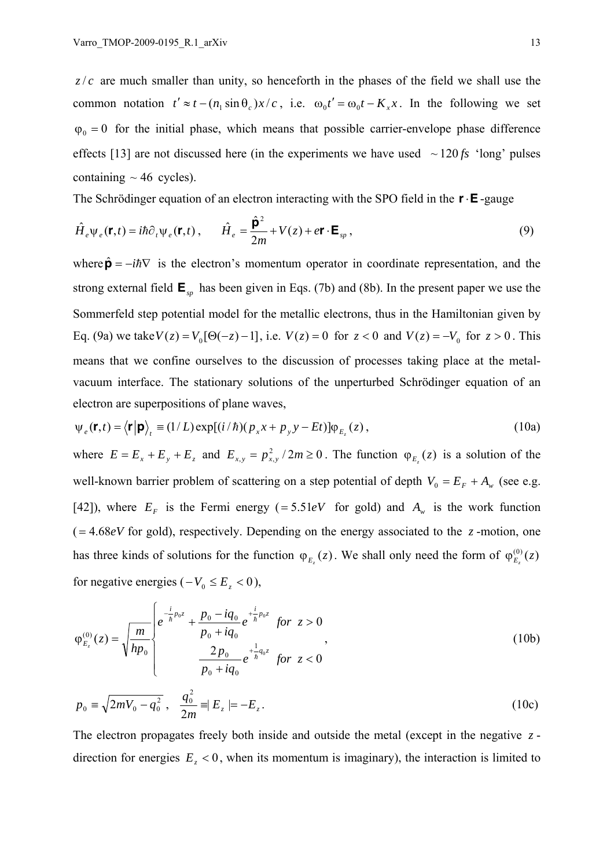$z/c$  are much smaller than unity, so henceforth in the phases of the field we shall use the common notation  $t' \approx t - (n_1 \sin \theta_c) x/c$ , i.e.  $\omega_0 t' = \omega_0 t - K_x x$ . In the following we set  $\varphi_0 = 0$  for the initial phase, which means that possible carrier-envelope phase difference effects [13] are not discussed here (in the experiments we have used  $\sim 120 \text{fs}$  'long' pulses containing  $\sim$  46 cycles).

The Schrödinger equation of an electron interacting with the SPO field in the **r**⋅**E**-gauge

$$
\hat{H}_e \Psi_e(\mathbf{r}, t) = i\hbar \partial_t \Psi_e(\mathbf{r}, t) , \qquad \hat{H}_e = \frac{\hat{\mathbf{p}}^2}{2m} + V(z) + e\mathbf{r} \cdot \mathbf{E}_{sp} ,
$$
\n(9)

where  $\hat{\mathbf{p}} = -i\hbar \nabla$  is the electron's momentum operator in coordinate representation, and the strong external field **E***sp* has been given in Eqs. (7b) and (8b). In the present paper we use the Sommerfeld step potential model for the metallic electrons, thus in the Hamiltonian given by Eq. (9a) we take  $V(z) = V_0[Θ(-z) - 1]$ , i.e.  $V(z) = 0$  for  $z < 0$  and  $V(z) = -V_0$  for  $z > 0$ . This means that we confine ourselves to the discussion of processes taking place at the metalvacuum interface. The stationary solutions of the unperturbed Schrödinger equation of an electron are superpositions of plane waves,

$$
\psi_e(\mathbf{r},t) = \langle \mathbf{r} | \mathbf{p} \rangle_t \equiv (1/L) \exp[(i/\hbar)(p_x x + p_y y - Et)] \varphi_{E_z}(z), \qquad (10a)
$$

where  $E = E_x + E_y + E_z$  and  $E_{xy} = p_{xy}^2 / 2m \ge 0$ . The function  $\varphi_{E}(z)$  is a solution of the well-known barrier problem of scattering on a step potential of depth  $V_0 = E_F + A_w$  (see e.g. [42]), where  $E_F$  is the Fermi energy (=5.51*eV* for gold) and  $A_w$  is the work function  $( = 4.68eV$  for gold), respectively. Depending on the energy associated to the *z*-motion, one has three kinds of solutions for the function  $\varphi_{E}(z)$ . We shall only need the form of  $\varphi_{E}(z)$ for negative energies  $(-V_0 \le E_z < 0)$ ,

$$
\varphi_{E_z}^{(0)}(z) = \sqrt{\frac{m}{hp_0}} \begin{cases} e^{-\frac{i}{h}p_0 z} + \frac{p_0 - iq_0}{p_0 + iq_0} e^{-\frac{i}{h}p_0 z} & \text{for } z > 0 \\ \frac{2p_0}{p_0 + iq_0} e^{-\frac{1}{h}q_0 z} & \text{for } z < 0 \end{cases}
$$
\n(10b)

$$
p_0 \equiv \sqrt{2mV_0 - q_0^2}, \quad \frac{q_0^2}{2m} \equiv E_z \mid = -E_z.
$$
 (10c)

The electron propagates freely both inside and outside the metal (except in the negative *z* direction for energies  $E<sub>z</sub> < 0$ , when its momentum is imaginary), the interaction is limited to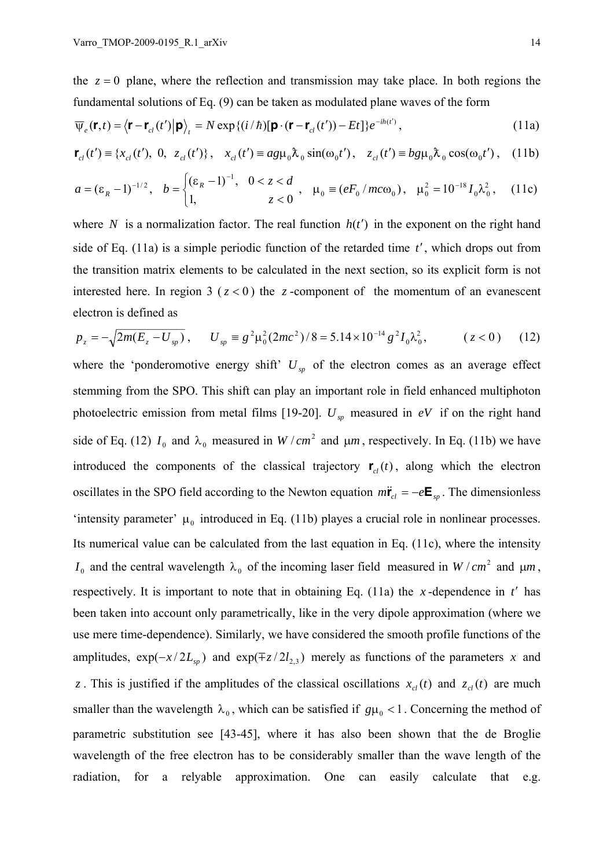the  $z = 0$  plane, where the reflection and transmission may take place. In both regions the fundamental solutions of Eq. (9) can be taken as modulated plane waves of the form

$$
\overline{\psi}_e(\mathbf{r},t) = \langle \mathbf{r} - \mathbf{r}_{cl}(t') | \mathbf{p} \rangle_t = N \exp\{(i/\hbar) [\mathbf{p} \cdot (\mathbf{r} - \mathbf{r}_{cl}(t')) - Et] \} e^{-i\hbar(t)},
$$
\n(11a)

$$
\mathbf{r}_{cl}(t') \equiv \{x_{cl}(t'), 0, z_{cl}(t')\}, \quad x_{cl}(t') \equiv a g \mu_0 \lambda_0 \sin(\omega_0 t'), \quad z_{cl}(t') \equiv b g \mu_0 \lambda_0 \cos(\omega_0 t'), \quad (11b)
$$

$$
a = (\varepsilon_R - 1)^{-1/2}, \quad b = \begin{cases} (\varepsilon_R - 1)^{-1}, & 0 < z < d \\ 1, & z < 0 \end{cases}, \quad \mu_0 = (eF_0/mc\omega_0), \quad \mu_0^2 = 10^{-18}I_0\lambda_0^2, \quad (11c)
$$

where *N* is a normalization factor. The real function  $h(t')$  in the exponent on the right hand side of Eq. (11a) is a simple periodic function of the retarded time *t*′, which drops out from the transition matrix elements to be calculated in the next section, so its explicit form is not interested here. In region  $3(z < 0)$  the *z*-component of the momentum of an evanescent electron is defined as

$$
p_z = -\sqrt{2m(E_z - U_{sp})}, \qquad U_{sp} = g^2 \mu_0^2 (2mc^2)/8 = 5.14 \times 10^{-14} g^2 I_0 \lambda_0^2, \qquad (z < 0) \tag{12}
$$

where the 'ponderomotive energy shift'  $U_{\nu}$  of the electron comes as an average effect stemming from the SPO. This shift can play an important role in field enhanced multiphoton photoelectric emission from metal films [19-20].  $U_{sp}$  measured in *eV* if on the right hand side of Eq. (12)  $I_0$  and  $\lambda_0$  measured in  $W / cm^2$  and  $\mu m$ , respectively. In Eq. (11b) we have introduced the components of the classical trajectory  $\mathbf{r}_{cl}(t)$ , along which the electron oscillates in the SPO field according to the Newton equation  $m\ddot{\mathbf{r}}_{cl} = -e\mathbf{E}_{sp}$ . The dimensionless 'intensity parameter'  $\mu_0$  introduced in Eq. (11b) playes a crucial role in nonlinear processes. Its numerical value can be calculated from the last equation in Eq. (11c), where the intensity  $I_0$  and the central wavelength  $\lambda_0$  of the incoming laser field measured in  $W / cm^2$  and  $\mu m$ , respectively. It is important to note that in obtaining Eq. (11a) the *x* -dependence in *t*′ has been taken into account only parametrically, like in the very dipole approximation (where we use mere time-dependence). Similarly, we have considered the smooth profile functions of the amplitudes,  $\exp(-x/2L_{sp})$  and  $\exp(\mp z/2l_{2,3})$  merely as functions of the parameters *x* and *z*. This is justified if the amplitudes of the classical oscillations  $x_d(t)$  and  $z_d(t)$  are much smaller than the wavelength  $\lambda_0$ , which can be satisfied if  $g\mu_0 < 1$ . Concerning the method of parametric substitution see [43-45], where it has also been shown that the de Broglie wavelength of the free electron has to be considerably smaller than the wave length of the radiation, for a relyable approximation. One can easily calculate that e.g.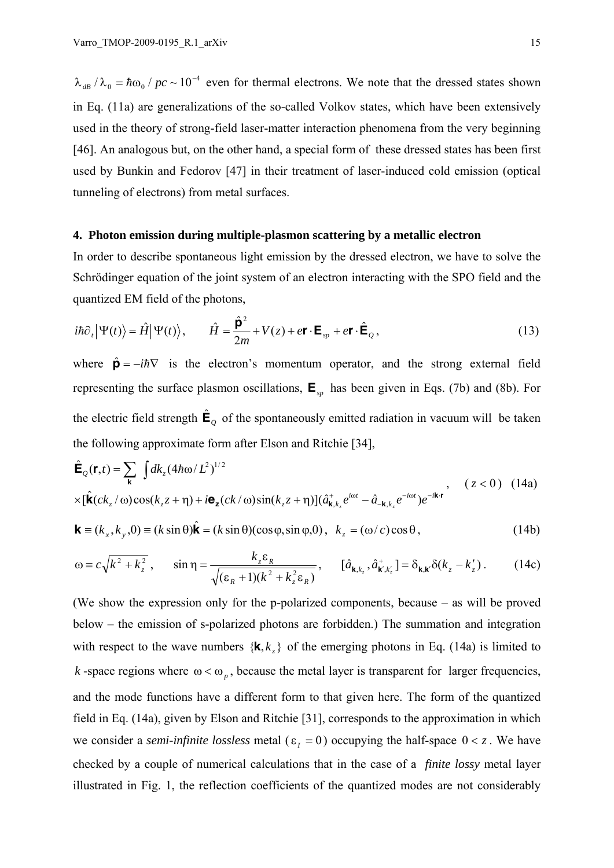$\lambda_{dB}/\lambda_0 = \hbar \omega_0 / pc \sim 10^{-4}$  even for thermal electrons. We note that the dressed states shown in Eq. (11a) are generalizations of the so-called Volkov states, which have been extensively used in the theory of strong-field laser-matter interaction phenomena from the very beginning [46]. An analogous but, on the other hand, a special form of these dressed states has been first used by Bunkin and Fedorov [47] in their treatment of laser-induced cold emission (optical tunneling of electrons) from metal surfaces.

## **4. Photon emission during multiple-plasmon scattering by a metallic electron**

In order to describe spontaneous light emission by the dressed electron, we have to solve the Schrödinger equation of the joint system of an electron interacting with the SPO field and the quantized EM field of the photons,

$$
i\hbar \partial_t |\Psi(t)\rangle = \hat{H} |\Psi(t)\rangle, \qquad \hat{H} = \frac{\hat{\mathbf{p}}^2}{2m} + V(z) + e\mathbf{r} \cdot \mathbf{E}_{sp} + e\mathbf{r} \cdot \hat{\mathbf{E}}_Q,
$$
\n(13)

where  $\hat{\mathbf{p}} = -i\hbar \nabla$  is the electron's momentum operator, and the strong external field representing the surface plasmon oscillations,  $\mathbf{E}_{sp}$  has been given in Eqs. (7b) and (8b). For the electric field strength  $\hat{\mathbf{E}}_q$  of the spontaneously emitted radiation in vacuum will be taken the following approximate form after Elson and Ritchie [34],

$$
\hat{\mathbf{E}}_{Q}(\mathbf{r},t) = \sum_{\mathbf{k}} \int dk_{z} (4\hbar \omega / L^{2})^{1/2}
$$
\n
$$
\times [\hat{\mathbf{k}}(ck_{z}/\omega)\cos(k_{z}z+\eta)+i\mathbf{e}_{z}(ck/\omega)\sin(k_{z}z+\eta)](\hat{a}^{+}_{\mathbf{k},k_{z}}e^{i\omega t}-\hat{a}_{-\mathbf{k},k_{z}}e^{-i\omega t})e^{-i\mathbf{k}\cdot\mathbf{r}} \qquad (z<0) \quad (14a)
$$

$$
\mathbf{k} \equiv (k_x, k_y, 0) \equiv (k \sin \theta) \hat{\mathbf{k}} = (k \sin \theta) (\cos \phi, \sin \phi, 0), \ \ k_z = (\omega / c) \cos \theta, \tag{14b}
$$

$$
\omega \equiv c\sqrt{k^2 + k_z^2}, \qquad \sin \eta = \frac{k_z \varepsilon_R}{\sqrt{(\varepsilon_R + 1)(k^2 + k_z^2 \varepsilon_R)}}, \qquad [\hat{a}_{\mathbf{k}, k_z}, \hat{a}_{\mathbf{k}', k_z'}^+] = \delta_{\mathbf{k}, \mathbf{k}'} \delta(k_z - k_z'). \tag{14c}
$$

(We show the expression only for the p-polarized components, because – as will be proved below – the emission of s-polarized photons are forbidden.) The summation and integration with respect to the wave numbers  $\{k, k, \}$  of the emerging photons in Eq. (14a) is limited to *k* -space regions where  $\omega < \omega_n$ , because the metal layer is transparent for larger frequencies, and the mode functions have a different form to that given here. The form of the quantized field in Eq. (14a), given by Elson and Ritchie [31], corresponds to the approximation in which we consider a *semi-infinite lossless* metal ( $\varepsilon$ <sub>*i*</sub> = 0) occupying the half-space  $0 < z$ . We have checked by a couple of numerical calculations that in the case of a *finite lossy* metal layer illustrated in Fig. 1, the reflection coefficients of the quantized modes are not considerably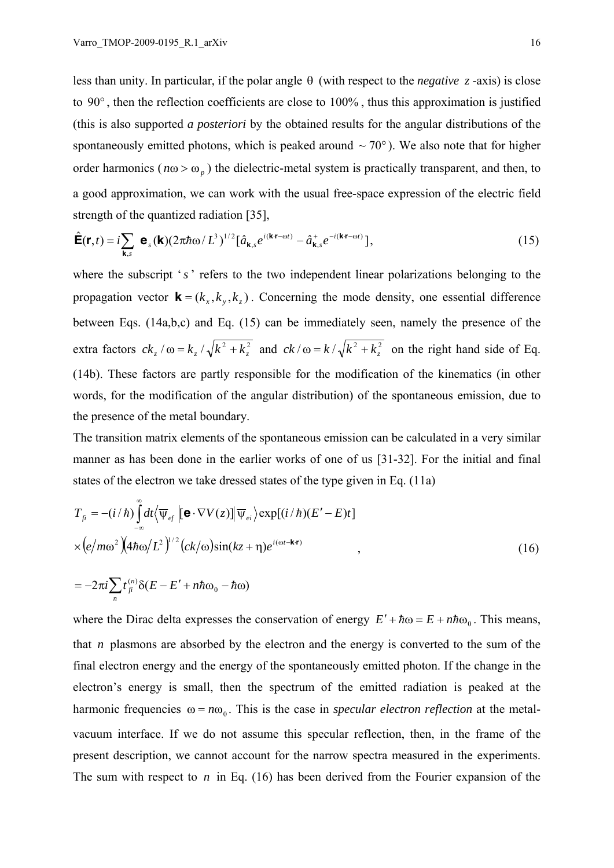less than unity. In particular, if the polar angle θ (with respect to the *negative z* -axis) is close to 90° , then the reflection coefficients are close to 100% , thus this approximation is justified (this is also supported *a posteriori* by the obtained results for the angular distributions of the spontaneously emitted photons, which is peaked around  $\sim$  70 $^{\circ}$ ). We also note that for higher order harmonics ( $n\omega > \omega_p$ ) the dielectric-metal system is practically transparent, and then, to a good approximation, we can work with the usual free-space expression of the electric field strength of the quantized radiation [35],

$$
\hat{\mathbf{E}}(\mathbf{r},t) = i \sum_{\mathbf{k},s} \mathbf{e}_s(\mathbf{k}) (2\pi\hbar\omega/L^3)^{1/2} [\hat{a}_{\mathbf{k},s} e^{i(\mathbf{k}\cdot\mathbf{r}-\omega t)} - \hat{a}_{\mathbf{k},s}^+ e^{-i(\mathbf{k}\cdot\mathbf{r}-\omega t)}],
$$
\n(15)

where the subscript 's' refers to the two independent linear polarizations belonging to the propagation vector  $\mathbf{k} = (k_x, k_y, k_z)$ . Concerning the mode density, one essential difference between Eqs. (14a,b,c) and Eq. (15) can be immediately seen, namely the presence of the extra factors  $ck_z / \omega = k_z / \sqrt{k^2 + k_z^2}$  and  $ck / \omega = k / \sqrt{k^2 + k_z^2}$  on the right hand side of Eq. (14b). These factors are partly responsible for the modification of the kinematics (in other words, for the modification of the angular distribution) of the spontaneous emission, due to the presence of the metal boundary.

The transition matrix elements of the spontaneous emission can be calculated in a very similar manner as has been done in the earlier works of one of us [31-32]. For the initial and final states of the electron we take dressed states of the type given in Eq. (11a)

$$
T_{\hat{\mu}} = -(i/\hbar) \int_{-\infty}^{\infty} dt \langle \overline{\Psi}_{ef} | [\mathbf{e} \cdot \nabla V(z)] | \overline{\Psi}_{ei} \rangle \exp[(i/\hbar)(E'-E)t]
$$
  
 
$$
\times (e/m\omega^2)(4\hbar\omega/L^2)^{1/2} (ck/\omega)\sin(kz+\eta)e^{i(\omega t-\mathbf{k}\cdot\mathbf{r})}, \qquad (16)
$$

$$
=-2\pi i\sum_{n} t_{\hat{f}}^{(n)}\delta(E-E'+n\hbar\omega_0-\hbar\omega)
$$

where the Dirac delta expresses the conservation of energy  $E' + \hbar \omega = E + n \hbar \omega_0$ . This means, that *n* plasmons are absorbed by the electron and the energy is converted to the sum of the final electron energy and the energy of the spontaneously emitted photon. If the change in the electron's energy is small, then the spectrum of the emitted radiation is peaked at the harmonic frequencies  $\omega = n\omega_0$ . This is the case in *specular electron reflection* at the metalvacuum interface. If we do not assume this specular reflection, then, in the frame of the present description, we cannot account for the narrow spectra measured in the experiments. The sum with respect to *n* in Eq. (16) has been derived from the Fourier expansion of the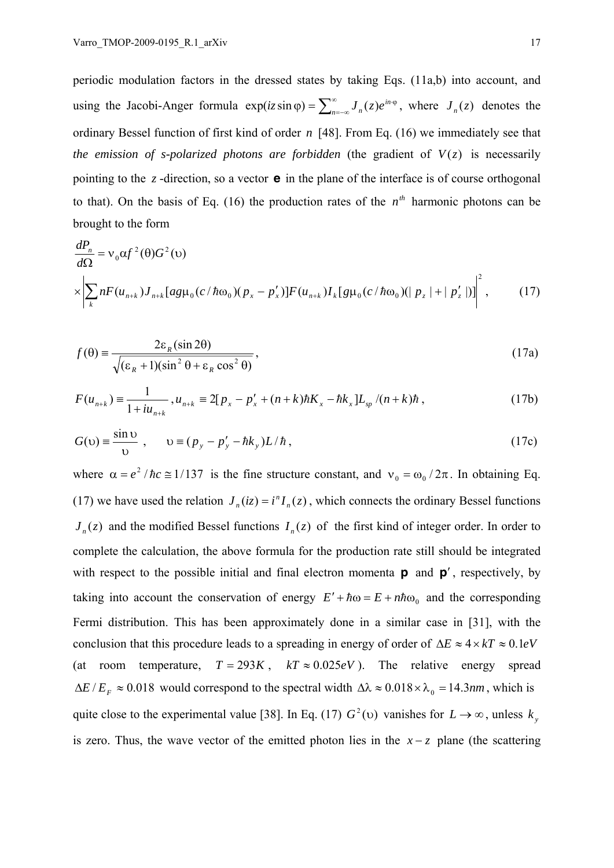periodic modulation factors in the dressed states by taking Eqs. (11a,b) into account, and using the Jacobi-Anger formula  $\exp(iz \sin \varphi) = \sum_{n=-\infty}^{\infty} J_n(z) e^{in \varphi}$ , where  $J_n(z)$  denotes the ordinary Bessel function of first kind of order *n* [48]. From Eq. (16) we immediately see that *the emission of s-polarized photons are forbidden* (the gradient of  $V(z)$  is necessarily pointing to the *z* -direction, so a vector **e** in the plane of the interface is of course orthogonal to that). On the basis of Eq. (16) the production rates of the  $n^{th}$  harmonic photons can be brought to the form

$$
\frac{dP_n}{d\Omega} = v_0 \alpha f^2(\theta) G^2(\nu)
$$
\n
$$
\times \left| \sum_k n F(u_{n+k}) J_{n+k} [ag \mu_0(c/\hbar \omega_0)(p_x - p'_x)] F(u_{n+k}) I_k [g \mu_0(c/\hbar \omega_0)(p_z + p'_z)] \right|^2, \tag{17}
$$

$$
f(\theta) = \frac{2\varepsilon_R (\sin 2\theta)}{\sqrt{(\varepsilon_R + 1)(\sin^2 \theta + \varepsilon_R \cos^2 \theta)}},
$$
\n(17a)

$$
F(u_{n+k}) = \frac{1}{1 + iu_{n+k}}, u_{n+k} = 2[p_x - p'_x + (n+k)\hbar K_x - \hbar k_x]L_{sp}/(n+k)\hbar,
$$
\n(17b)

$$
G(v) = \frac{\sin v}{v}, \qquad v = (p_y - p'_y - \hbar k_y)L/\hbar,
$$
 (17c)

where  $\alpha = e^2 / \hbar c \approx 1/137$  is the fine structure constant, and  $v_0 = \omega_0 / 2\pi$ . In obtaining Eq. (17) we have used the relation  $J_n(iz) = i^n I_n(z)$ , which connects the ordinary Bessel functions  $J_n(z)$  and the modified Bessel functions  $I_n(z)$  of the first kind of integer order. In order to complete the calculation, the above formula for the production rate still should be integrated with respect to the possible initial and final electron momenta **p** and **p**′ , respectively, by taking into account the conservation of energy  $E' + \hbar \omega = E + n\hbar \omega_0$  and the corresponding Fermi distribution. This has been approximately done in a similar case in [31], with the conclusion that this procedure leads to a spreading in energy of order of  $\Delta E \approx 4 \times kT \approx 0.1 eV$ (at room temperature,  $T = 293K$ ,  $kT \approx 0.025eV$ ). The relative energy spread  $\Delta E / E_F \approx 0.018$  would correspond to the spectral width  $\Delta \lambda \approx 0.018 \times \lambda_0 = 14.3$ *nm*, which is quite close to the experimental value [38]. In Eq. (17)  $G^2(v)$  vanishes for  $L \to \infty$ , unless  $k_y$ is zero. Thus, the wave vector of the emitted photon lies in the  $x - z$  plane (the scattering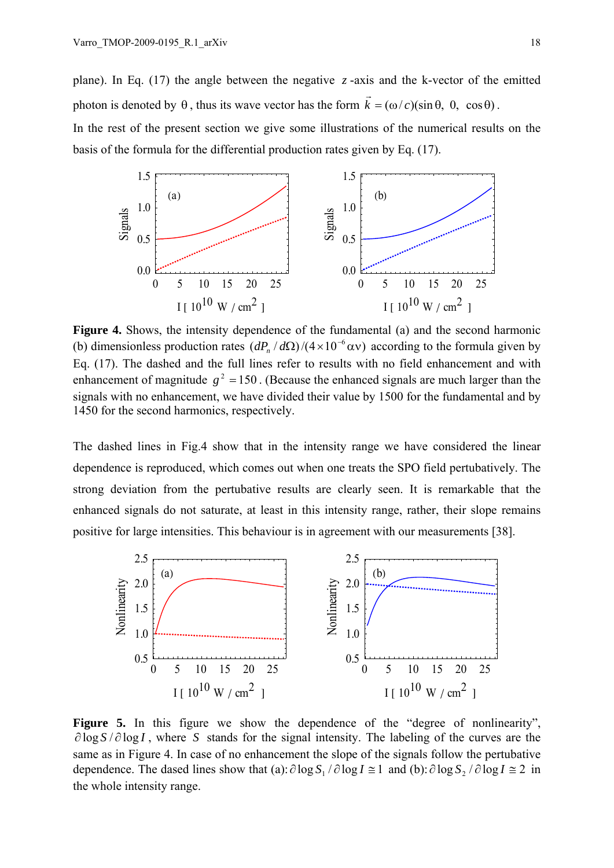plane). In Eq. (17) the angle between the negative  $\zeta$ -axis and the k-vector of the emitted photon is denoted by  $\theta$ , thus its wave vector has the form  $\vec{k} = (\omega/c)(\sin \theta, 0, \cos \theta)$ .

In the rest of the present section we give some illustrations of the numerical results on the basis of the formula for the differential production rates given by Eq. (17).



**Figure 4.** Shows, the intensity dependence of the fundamental (a) and the second harmonic (b) dimensionless production rates  $(dP_n/d\Omega)/(4 \times 10^{-6} \text{ av})$  according to the formula given by Eq. (17). The dashed and the full lines refer to results with no field enhancement and with enhancement of magnitude  $g^2 = 150$ . (Because the enhanced signals are much larger than the signals with no enhancement, we have divided their value by 1500 for the fundamental and by 1450 for the second harmonics, respectively.

The dashed lines in Fig.4 show that in the intensity range we have considered the linear dependence is reproduced, which comes out when one treats the SPO field pertubatively. The strong deviation from the pertubative results are clearly seen. It is remarkable that the enhanced signals do not saturate, at least in this intensity range, rather, their slope remains positive for large intensities. This behaviour is in agreement with our measurements [38].



Figure 5. In this figure we show the dependence of the "degree of nonlinearity", ∂ log *S* / ∂ log *I* , where *S* stands for the signal intensity. The labeling of the curves are the same as in Figure 4. In case of no enhancement the slope of the signals follow the pertubative dependence. The dased lines show that (a):  $\partial \log S_1 / \partial \log I \cong 1$  and (b):  $\partial \log S_2 / \partial \log I \cong 2$  in the whole intensity range.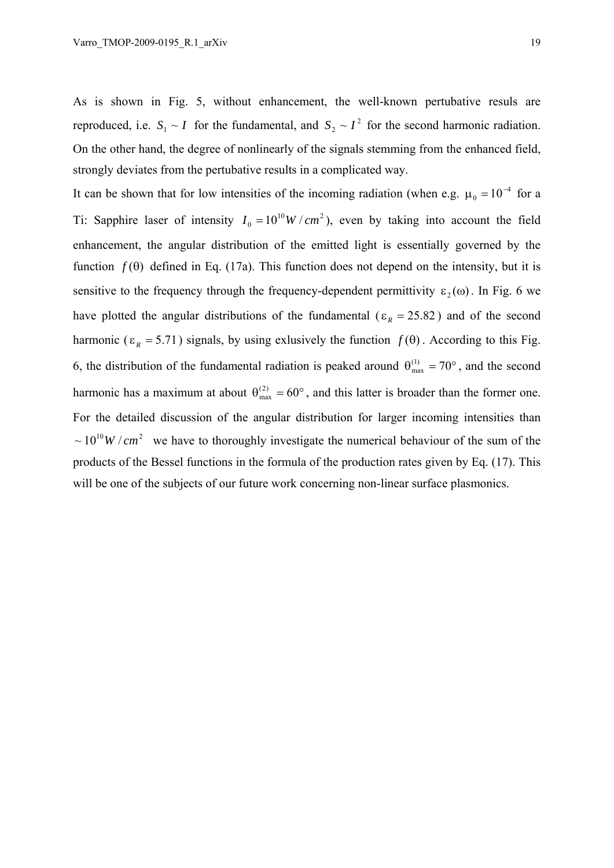As is shown in Fig. 5, without enhancement, the well-known pertubative resuls are reproduced, i.e.  $S_1 \sim I$  for the fundamental, and  $S_2 \sim I^2$  for the second harmonic radiation. On the other hand, the degree of nonlinearly of the signals stemming from the enhanced field, strongly deviates from the pertubative results in a complicated way.

It can be shown that for low intensities of the incoming radiation (when e.g.  $\mu_0 = 10^{-4}$  for a Ti: Sapphire laser of intensity  $I_0 = 10^{10} W/cm^2$ , even by taking into account the field enhancement, the angular distribution of the emitted light is essentially governed by the function *f* (θ) defined in Eq. (17a). This function does not depend on the intensity, but it is sensitive to the frequency through the frequency-dependent permittivity  $\varepsilon_2(\omega)$ . In Fig. 6 we have plotted the angular distributions of the fundamental ( $\varepsilon_R = 25.82$ ) and of the second harmonic ( $\epsilon_R$  = 5.71) signals, by using exlusively the function  $f(\theta)$ . According to this Fig. 6, the distribution of the fundamental radiation is peaked around  $\theta_{\text{max}}^{(1)} = 70^{\circ}$ , and the second harmonic has a maximum at about  $\theta_{\text{max}}^{(2)} = 60^{\circ}$ , and this latter is broader than the former one. For the detailed discussion of the angular distribution for larger incoming intensities than  $\sim 10^{10} W/cm^2$  we have to thoroughly investigate the numerical behaviour of the sum of the products of the Bessel functions in the formula of the production rates given by Eq. (17). This will be one of the subjects of our future work concerning non-linear surface plasmonics.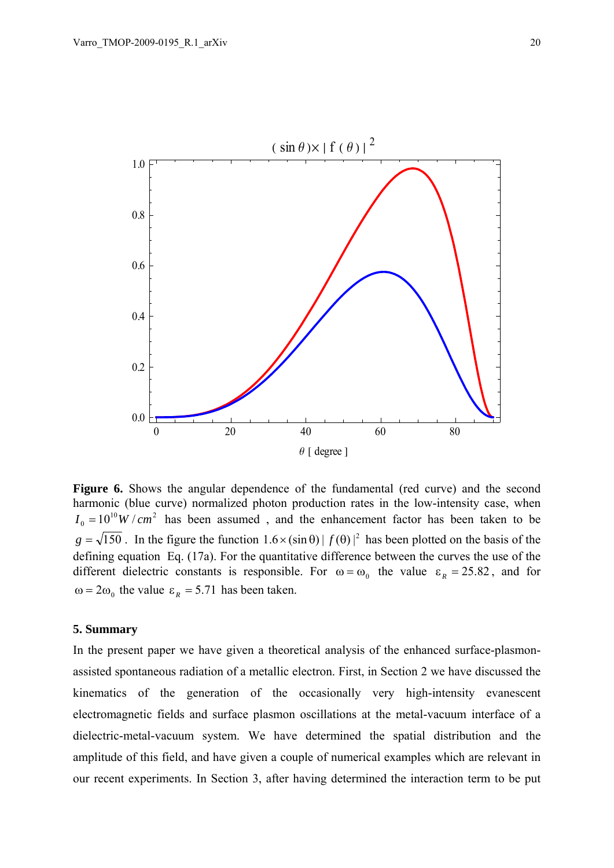

**Figure 6.** Shows the angular dependence of the fundamental (red curve) and the second harmonic (blue curve) normalized photon production rates in the low-intensity case, when  $I_0 = 10^{10} W/cm^2$  has been assumed, and the enhancement factor has been taken to be  $g = \sqrt{150}$ . In the figure the function  $1.6 \times (\sin \theta) | f(\theta)|^2$  has been plotted on the basis of the defining equation Eq. (17a). For the quantitative difference between the curves the use of the different dielectric constants is responsible. For  $\omega = \omega_0$  the value  $\varepsilon_R = 25.82$ , and for  $\omega = 2\omega_0$  the value  $\varepsilon_R = 5.71$  has been taken.

# **5. Summary**

In the present paper we have given a theoretical analysis of the enhanced surface-plasmonassisted spontaneous radiation of a metallic electron. First, in Section 2 we have discussed the kinematics of the generation of the occasionally very high-intensity evanescent electromagnetic fields and surface plasmon oscillations at the metal-vacuum interface of a dielectric-metal-vacuum system. We have determined the spatial distribution and the amplitude of this field, and have given a couple of numerical examples which are relevant in our recent experiments. In Section 3, after having determined the interaction term to be put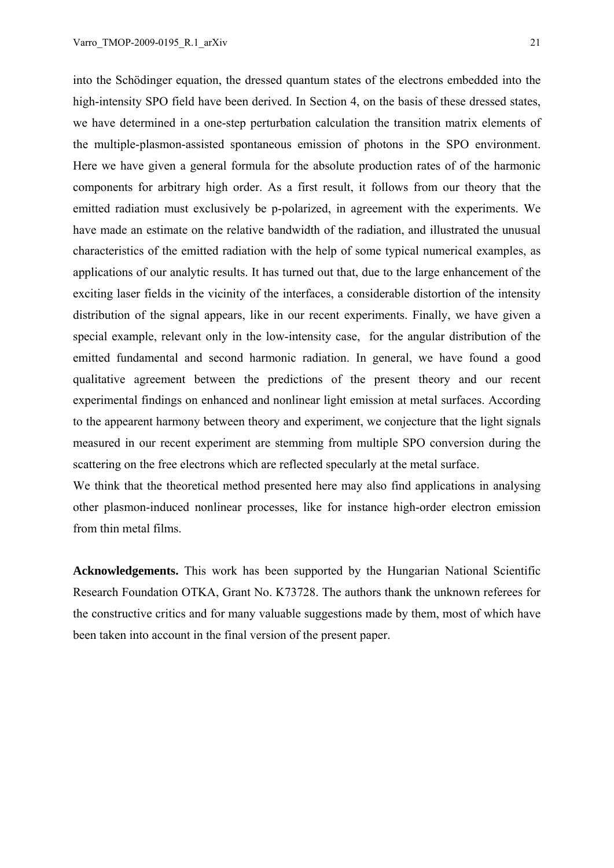into the Schödinger equation, the dressed quantum states of the electrons embedded into the high-intensity SPO field have been derived. In Section 4, on the basis of these dressed states, we have determined in a one-step perturbation calculation the transition matrix elements of the multiple-plasmon-assisted spontaneous emission of photons in the SPO environment. Here we have given a general formula for the absolute production rates of of the harmonic components for arbitrary high order. As a first result, it follows from our theory that the emitted radiation must exclusively be p-polarized, in agreement with the experiments. We have made an estimate on the relative bandwidth of the radiation, and illustrated the unusual characteristics of the emitted radiation with the help of some typical numerical examples, as applications of our analytic results. It has turned out that, due to the large enhancement of the exciting laser fields in the vicinity of the interfaces, a considerable distortion of the intensity distribution of the signal appears, like in our recent experiments. Finally, we have given a special example, relevant only in the low-intensity case, for the angular distribution of the emitted fundamental and second harmonic radiation. In general, we have found a good qualitative agreement between the predictions of the present theory and our recent experimental findings on enhanced and nonlinear light emission at metal surfaces. According to the appearent harmony between theory and experiment, we conjecture that the light signals measured in our recent experiment are stemming from multiple SPO conversion during the scattering on the free electrons which are reflected specularly at the metal surface.

We think that the theoretical method presented here may also find applications in analysing other plasmon-induced nonlinear processes, like for instance high-order electron emission from thin metal films.

**Acknowledgements.** This work has been supported by the Hungarian National Scientific Research Foundation OTKA, Grant No. K73728. The authors thank the unknown referees for the constructive critics and for many valuable suggestions made by them, most of which have been taken into account in the final version of the present paper.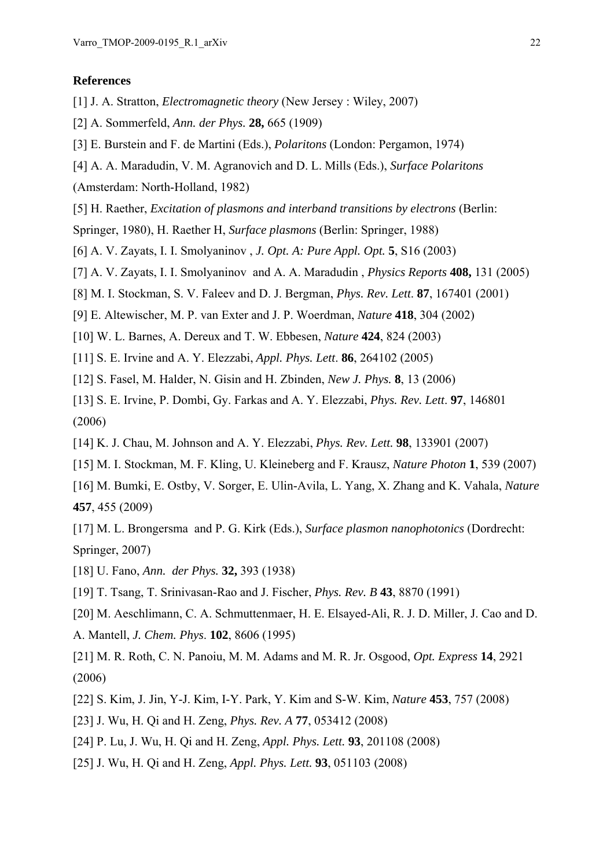### **References**

- [1] J. A. Stratton, *Electromagnetic theory* (New Jersey : Wiley, 2007)
- [2] A. Sommerfeld, *Ann. der Phys.* **28,** 665 (1909)
- [3] E. Burstein and F. de Martini (Eds.), *Polaritons* (London: Pergamon, 1974)
- [4] A. A. Maradudin, V. M. Agranovich and D. L. Mills (Eds.), *Surface Polaritons*

(Amsterdam: North-Holland, 1982)

- [5] H. Raether, *Excitation of plasmons and interband transitions by electrons* (Berlin:
- Springer, 1980), H. Raether H, *Surface plasmons* (Berlin: Springer, 1988)
- [6] A. V. Zayats, I. I. Smolyaninov , *J. Opt. A: Pure Appl. Opt.* **5**, S16 (2003)
- [7] A. V. Zayats, I. I. Smolyaninov and A. A. Maradudin , *Physics Reports* **408,** 131 (2005)
- [8] M. I. Stockman, S. V. Faleev and D. J. Bergman, *Phys. Rev. Lett*. **87**, 167401 (2001)
- [9] E. Altewischer, M. P. van Exter and J. P. Woerdman, *Nature* **418**, 304 (2002)
- [10] W. L. Barnes, A. Dereux and T. W. Ebbesen, *Nature* **424**, 824 (2003)
- [11] S. E. Irvine and A. Y. Elezzabi, *Appl. Phys. Lett*. **86**, 264102 (2005)
- [12] S. Fasel, M. Halder, N. Gisin and H. Zbinden, *New J. Phys.* **8**, 13 (2006)
- [13] S. E. Irvine, P. Dombi, Gy. Farkas and A. Y. Elezzabi, *Phys. Rev. Lett*. **97**, 146801 (2006)
- [14] K. J. Chau, M. Johnson and A. Y. Elezzabi, *Phys. Rev. Lett.* **98**, 133901 (2007)
- [15] M. I. Stockman, M. F. Kling, U. Kleineberg and F. Krausz, *Nature Photon* **1**, 539 (2007)
- [16] M. Bumki, E. Ostby, V. Sorger, E. Ulin-Avila, L. Yang, X. Zhang and K. Vahala, *Nature* **457**, 455 (2009)
- [17] M. L. Brongersma and P. G. Kirk (Eds.), *Surface plasmon nanophotonics* (Dordrecht: Springer, 2007)
- [18] U. Fano, *Ann. der Phys.* **32,** 393 (1938)
- [19] T. Tsang, T. Srinivasan-Rao and J. Fischer, *Phys. Rev. B* **43**, 8870 (1991)
- [20] M. Aeschlimann, C. A. Schmuttenmaer, H. E. Elsayed-Ali, R. J. D. Miller, J. Cao and D.
- A. Mantell, *J. Chem. Phys*. **102**, 8606 (1995)
- [21] M. R. Roth, C. N. Panoiu, M. M. Adams and M. R. Jr. Osgood, *Opt. Express* **14**, 2921 (2006)
- [22] S. Kim, J. Jin, Y-J. Kim, I-Y. Park, Y. Kim and S-W. Kim, *Nature* **453**, 757 (2008)
- [23] J. Wu, H. Qi and H. Zeng, *Phys. Rev. A* **77**, 053412 (2008)
- [24] P. Lu, J. Wu, H. Qi and H. Zeng, *Appl. Phys. Lett.* **93**, 201108 (2008)
- [25] J. Wu, H. Qi and H. Zeng, *Appl. Phys. Lett.* **93**, 051103 (2008)